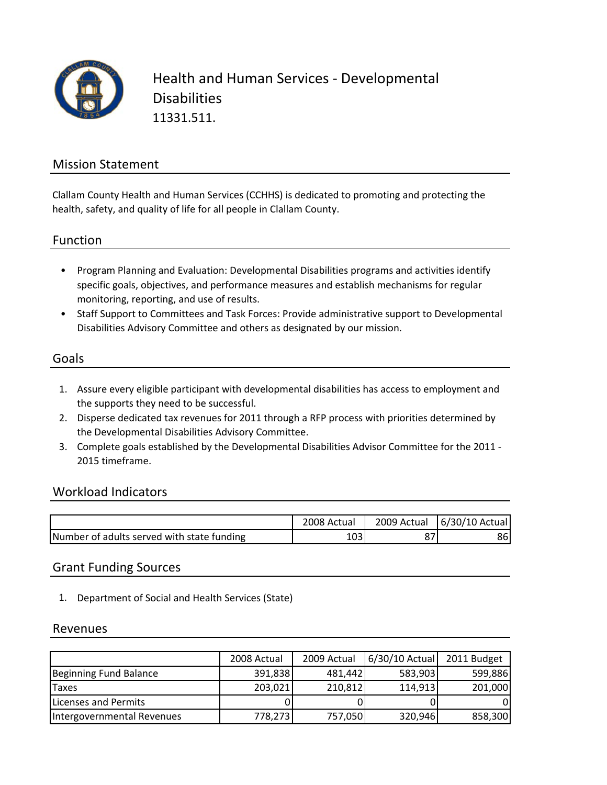

### Mission Statement

Clallam County Health and Human Services (CCHHS) is dedicated to promoting and protecting the health, safety, and quality of life for all people in Clallam County.

Function

- Program Planning and Evaluation: Developmental Disabilities programs and activities identify specific goals, objectives, and performance measures and establish mechanisms for regular monitoring, reporting, and use of results.
- Staff Support to Committees and Task Forces: Provide administrative support to Developmental Disabilities Advisory Committee and others as designated by our mission.

#### Goals

- 1. Assure every eligible participant with developmental disabilities has access to employment and the supports they need to be successful.
- 2. Disperse dedicated tax revenues for 2011 through a RFP process with priorities determined by the Developmental Disabilities Advisory Committee.
- 3. Complete goals established by the Developmental Disabilities Advisor Committee for the 2011 ‐ 2015 timeframe.

#### Workload Indicators

|                                            | 2008 Actual | 2009 Actual | 6/30/10 Actual |
|--------------------------------------------|-------------|-------------|----------------|
| Number of adults served with state funding | כּטב        |             | 86             |

#### Grant Funding Sources

1. Department of Social and Health Services (State)

#### Revenues

|                            | 2008 Actual | 2009 Actual | 6/30/10 Actual | 2011 Budget |
|----------------------------|-------------|-------------|----------------|-------------|
| Beginning Fund Balance     | 391,838     | 481,442     | 583,903        | 599,886     |
| <b>Taxes</b>               | 203,021     | 210,812     | 114,913        | 201,000     |
| Licenses and Permits       |             |             |                | 01          |
| Intergovernmental Revenues | 778,273     | 757,050     | 320,946        | 858,300     |